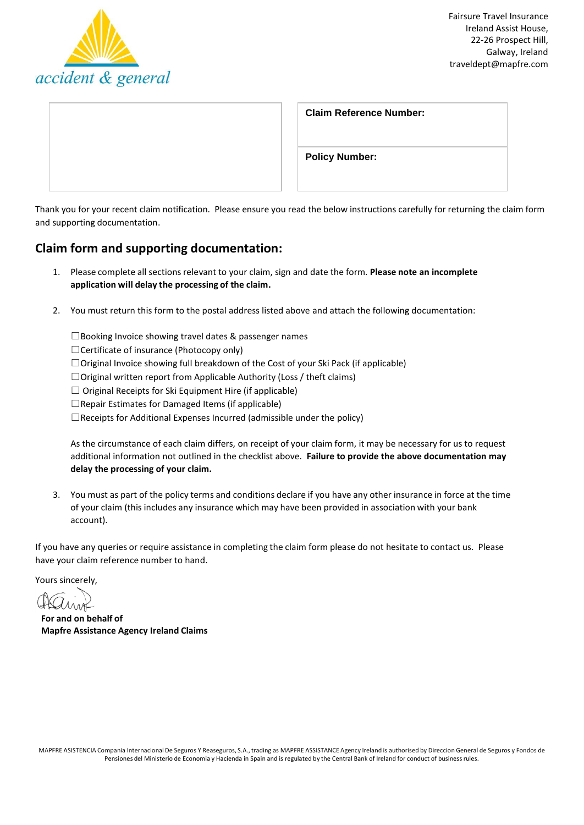

| <b>Claim Reference Number:</b> |
|--------------------------------|
| <b>Policy Number:</b>          |

Thank you for your recent claim notification. Please ensure you read the below instructions carefully for returning the claim form and supporting documentation.

## **Claim form and supporting documentation:**

- 1. Please complete all sections relevant to your claim, sign and date the form. Please note an incomplete **application will delay the processing of the claim.**
- 2. You must return this form to the postal address listed above and attach the following documentation:

☐Booking Invoice showing travel dates & passenger names

☐Certificate of insurance (Photocopy only)

☐Original Invoice showing full breakdown of the Cost of your Ski Pack (if applicable)

☐Original written report from Applicable Authority (Loss / theft claims)

 $\Box$  Original Receipts for Ski Equipment Hire (if applicable)

 $\Box$ Repair Estimates for Damaged Items (if applicable)

 $\Box$ Receipts for Additional Expenses Incurred (admissible under the policy)

As the circumstance of each claim differs, on receipt of your claim form, it may be necessary for us to request additional information not outlined in the checklist above. **Failure to provide the above documentation may delay the processing of your claim.**

3. You must as part of the policy terms and conditions declare if you have any other insurance in force at the time of your claim (this includes any insurance which may have been provided in association with your bank account).

If you have any queries or require assistance in completing the claim form please do not hesitate to contact us. Please have your claim reference number to hand.

Yours sincerely,

**For and on behalf of Mapfre Assistance Agency Ireland Claims**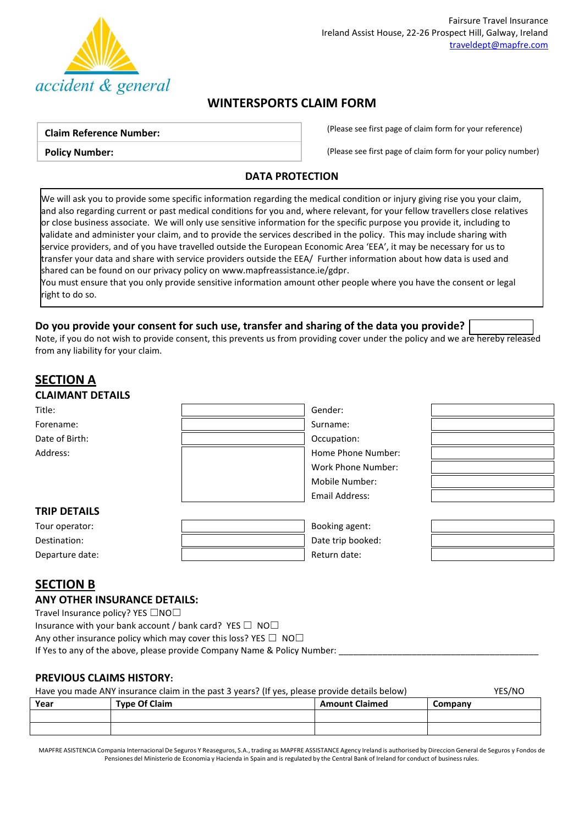

# **WINTERSPORTS CLAIM FORM**

#### **Claim Reference Number:**

**Policy Number:**

(Please see first page of claim form for your reference)

(Please see first page of claim form for your policy number)

### **DATA PROTECTION**

We will ask you to provide some specific information regarding the medical condition or injury giving rise you your claim, and also regarding current or past medical conditions for you and, where relevant, for your fellow travellers close relatives or close business associate. We will only use sensitive information for the specific purpose you provide it, including to validate and administer your claim, and to provide the services described in the policy. This may include sharing with service providers, and of you have travelled outside the European Economic Area 'EEA', it may be necessary for us to transfer your data and share with service providers outside the EEA/ Further information about how data is used and shared can be found on our privacy policy o[n www.mapfreassistance.ie/gdpr.](http://www.mapfreassistance.ie/gdpr)

You must ensure that you only provide sensitive information amount other people where you have the consent or legal right to do so.

### **Do you provide your consent for such use, transfer and sharing of the data you provide?**

Note, if you do not wish to provide consent, this prevents us from providing cover under the policy and we are hereby released from any liability for your claim.

## **SECTION A CLAIMANT DETAILS** Title: Gender: Forename: Surname: Surname: Surname: Surname: Surname: Surname: Surname: Surname: Surname: Surname: Surname: Surname: Surname: Surname: Surname: Surname: Surname: Surname: Surname: Surname: Surname: Surname: Surname: Surna Date of Birth:  $\qquad \qquad \qquad$  Date of Birth: Address: Note and the Mumber: Note and the Mumber: Home Phone Number: Work Phone Number: Mobile Number: Email Address: **TRIP DETAILS** Tour operator: Booking agent: Destination: **Destination: Destination: Destination: Destination: Destination: Destination: Destination: Destination: Destination: Destination: Destination: Destination: Destination: Destination:** Departure date:  $\qquad \qquad$  |  $\qquad \qquad$  Return date:

## **SECTION B**

#### **ANY OTHER INSURANCE DETAILS:**

Travel Insurance policy? YES □NO□

Insurance with your bank account / bank card? YES  $\Box$  NO $\Box$ 

Any other insurance policy which may cover this loss? YES  $\Box$  NO $\Box$ 

If Yes to any of the above, please provide Company Name & Policy Number:

### **PREVIOUS CLAIMS HISTORY:**

#### Have you made ANY insurance claim in the past 3 years? (If yes, please provide details below) YES/NO

| Year | <b>Type Of Claim</b> | <b>Amount Claimed</b> | Company |
|------|----------------------|-----------------------|---------|
|      |                      |                       |         |
|      |                      |                       |         |

MAPFRE ASISTENCIA Compania Internacional De Seguros Y Reaseguros, S.A., trading as MAPFRE ASSISTANCE Agency Ireland is authorised by Direccion General de Seguros y Fondos de Pensiones del Ministerio de Economia y Hacienda in Spain and is regulated by the Central Bank of Ireland for conduct of business rules.